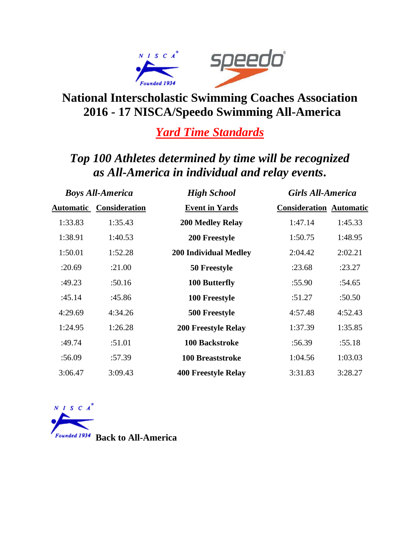

### **National Interscholastic Swimming Coaches Association 2016 - 17 NISCA/Speedo Swimming All-America**

### *Yard Time Standards*

# *Top 100 Athletes determined by time will be recognized as All-America in individual and relay events***.**

| <b>Boys All-America</b> |                                | <b>High School</b>           | <b>Girls All-America</b>       |         |
|-------------------------|--------------------------------|------------------------------|--------------------------------|---------|
|                         | <b>Automatic Consideration</b> | <b>Event in Yards</b>        | <b>Consideration Automatic</b> |         |
| 1:33.83                 | 1:35.43                        | <b>200 Medley Relay</b>      | 1:47.14                        | 1:45.33 |
| 1:38.91                 | 1:40.53                        | 200 Freestyle                | 1:50.75                        | 1:48.95 |
| 1:50.01                 | 1:52.28                        | <b>200 Individual Medley</b> | 2:04.42                        | 2:02.21 |
| :20.69                  | :21.00                         | 50 Freestyle                 | :23.68                         | :23.27  |
| :49.23                  | :50.16                         | 100 Butterfly                | :55.90                         | :54.65  |
| :45.14                  | :45.86                         | 100 Freestyle                | :51.27                         | :50.50  |
| 4:29.69                 | 4:34.26                        | 500 Freestyle                | 4:57.48                        | 4:52.43 |
| 1:24.95                 | 1:26.28                        | <b>200 Freestyle Relay</b>   | 1:37.39                        | 1:35.85 |
| :49.74                  | :51.01                         | <b>100 Backstroke</b>        | :56.39                         | :55.18  |
| :56.09                  | :57.39                         | <b>100 Breaststroke</b>      | 1:04.56                        | 1:03.03 |
| 3:06.47                 | 3:09.43                        | <b>400 Freestyle Relay</b>   | 3:31.83                        | 3:28.27 |